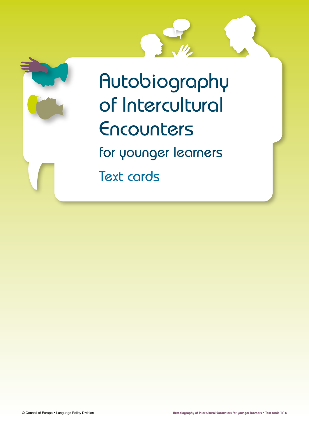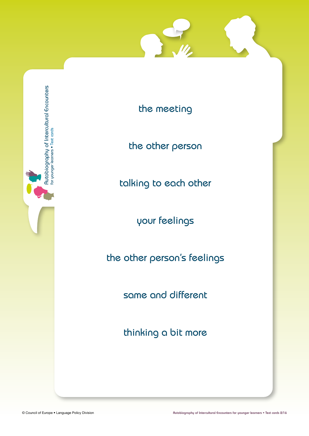



the meeting

the other person

talking to each other

your feelings

the other person's feelings

same and different

thinking a bit more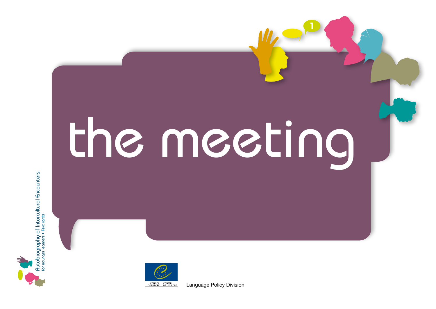### the meeting



Autobiography of Intercultural Encounters

**utobiography of Intercultural Encounters**<br>ryounger leaners • Text cards

for younger learners • Text cards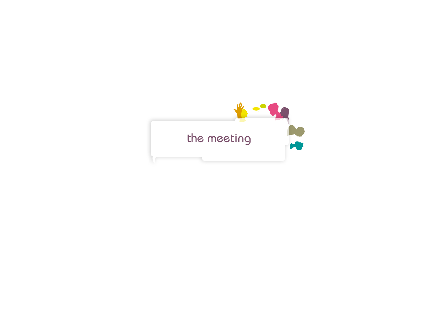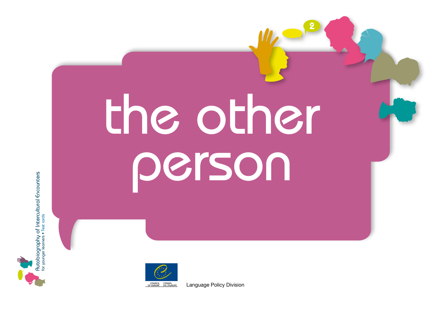#### the other person

2



Autobiography of Intercultural Encounters

**utobiography of Intercultural Encounters**<br>r younger learners • Text cards

for younger learners • Text cards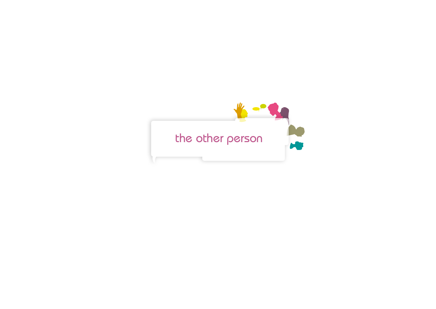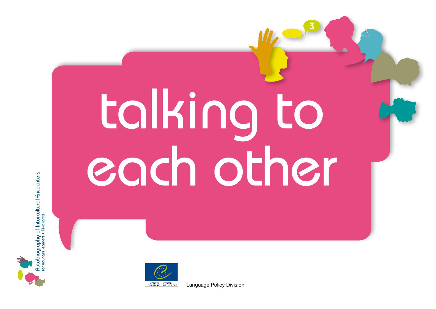# talking to each other

3



Autobiography of Intercultural Encounters

tobiography of Intercultural Encounters<br><sub>younger learners • Text cards</sub>

for younger learners • Text cards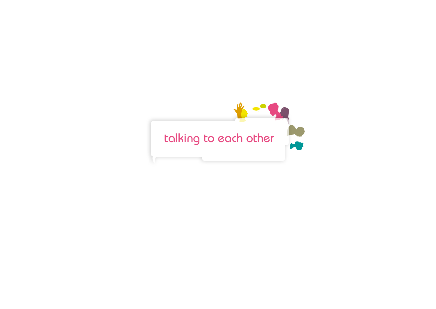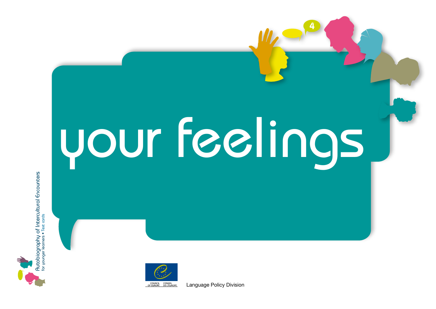

4



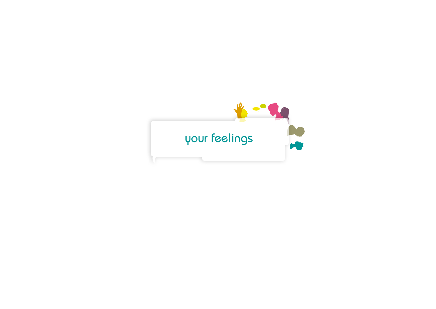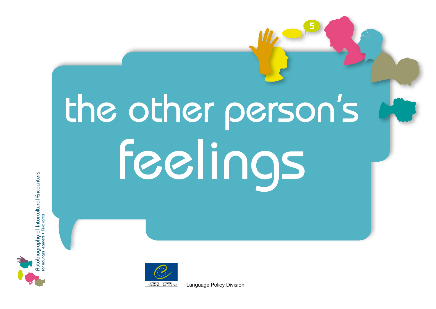# the other person's feelings

5



Language Policy Division

tobiography of Intercultural Encounters<br><sub>younger learners • Text cards</sub> Autobiography of Intercultural Encounters for younger learners • Text cards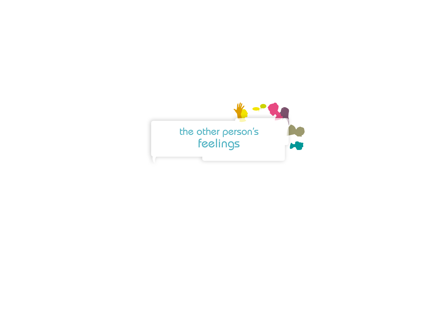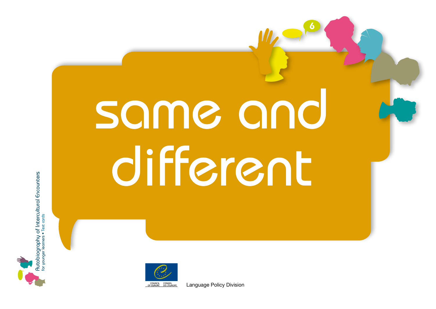### same and different

6



Language Policy Division

**utobiography of Intercultural Encounters**<br>r younger learners • Text cards Autobiography of Intercultural Encounters for younger learners • Text cards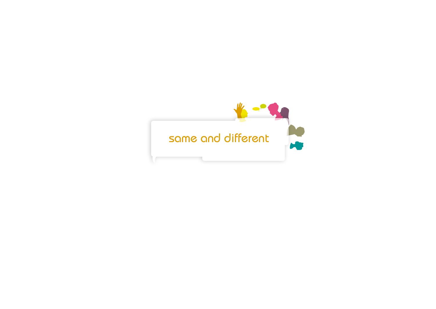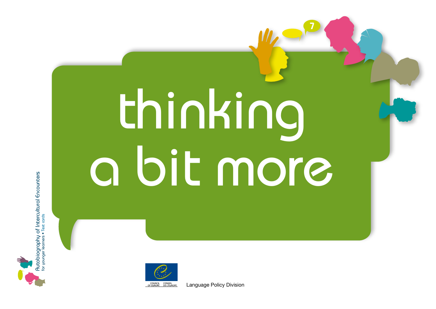# thinking a bit more

7



Language Policy Division

**utobiography of Intercultural Encounters**<br>r younger learners • Text cards Autobiography of Intercultural Encounters for younger learners • Text cards